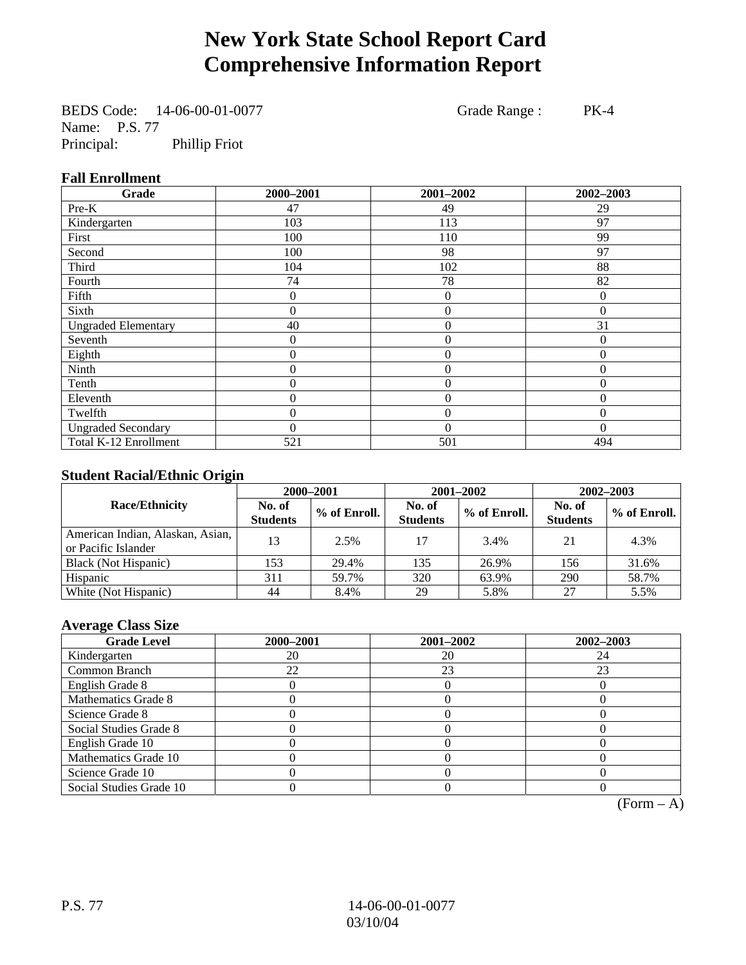# **New York State School Report Card Comprehensive Information Report**

BEDS Code: 14-06-00-01-0077 Grade Range : PK-4 Name: P.S. 77<br>Principal: Phillip Friot

#### **Fall Enrollment**

| Grade                      | 2000-2001        | 2001-2002        | 2002-2003    |
|----------------------------|------------------|------------------|--------------|
| Pre-K                      | 47               | 49               | 29           |
| Kindergarten               | 103              | 113              | 97           |
| First                      | 100              | 110              | 99           |
| Second                     | 100              | 98               | 97           |
| Third                      | 104              | 102              | 88           |
| Fourth                     | 74               | 78               | 82           |
| Fifth                      | 0                | $\overline{0}$   | $\Omega$     |
| Sixth                      | 0                | $\overline{0}$   | $\mathbf{0}$ |
| <b>Ungraded Elementary</b> | 40               | $\boldsymbol{0}$ | 31           |
| Seventh                    | 0                | $\mathbf{0}$     | $\theta$     |
| Eighth                     | $\boldsymbol{0}$ | $\theta$         | $\Omega$     |
| Ninth                      | $\overline{0}$   | $\theta$         | $\Omega$     |
| Tenth                      | 0                | $\boldsymbol{0}$ | $\theta$     |
| Eleventh                   | 0                | $\overline{0}$   | $\theta$     |
| Twelfth                    | 0                | $\overline{0}$   | $\Omega$     |
| <b>Ungraded Secondary</b>  | $\theta$         | $\theta$         | $\theta$     |
| Total K-12 Enrollment      | 521              | 501              | 494          |

#### **Student Racial/Ethnic Origin**

|                                                         | 2000-2001                 |              |                           | 2001-2002    | 2002-2003                 |                |
|---------------------------------------------------------|---------------------------|--------------|---------------------------|--------------|---------------------------|----------------|
| <b>Race/Ethnicity</b>                                   | No. of<br><b>Students</b> | % of Enroll. | No. of<br><b>Students</b> | % of Enroll. | No. of<br><b>Students</b> | $%$ of Enroll. |
| American Indian, Alaskan, Asian,<br>or Pacific Islander | 13                        | 2.5%         | 17                        | 3.4%         | 21                        | 4.3%           |
| Black (Not Hispanic)                                    | 153                       | 29.4%        | 135                       | 26.9%        | 156                       | 31.6%          |
| Hispanic                                                | 311                       | 59.7%        | 320                       | 63.9%        | 290                       | 58.7%          |
| White (Not Hispanic)                                    | 44                        | 8.4%         | 29                        | 5.8%         | 27                        | 5.5%           |

#### **Average Class Size**

| <b>Grade Level</b>      | 2000-2001 | 2001-2002 | 2002-2003 |
|-------------------------|-----------|-----------|-----------|
| Kindergarten            | 20        | 20        | 24        |
| Common Branch           | 22        | 23        | 23        |
| English Grade 8         |           |           |           |
| Mathematics Grade 8     |           |           |           |
| Science Grade 8         |           |           |           |
| Social Studies Grade 8  |           |           |           |
| English Grade 10        |           |           |           |
| Mathematics Grade 10    |           |           |           |
| Science Grade 10        |           |           |           |
| Social Studies Grade 10 |           |           |           |

 $(Form - A)$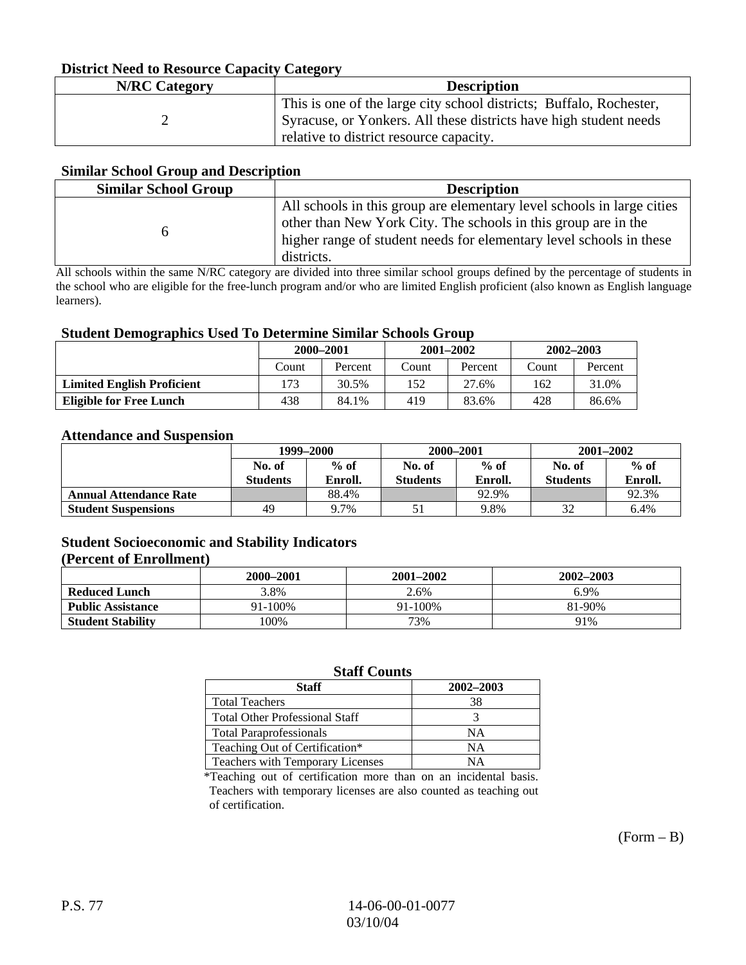#### **District Need to Resource Capacity Category**

| <b>N/RC</b> Category | <b>Description</b>                                                                                                                                                                  |
|----------------------|-------------------------------------------------------------------------------------------------------------------------------------------------------------------------------------|
|                      | This is one of the large city school districts; Buffalo, Rochester,<br>Syracuse, or Yonkers. All these districts have high student needs<br>relative to district resource capacity. |

#### **Similar School Group and Description**

| <b>Similar School Group</b> | <b>Description</b>                                                                                                                                                                                                            |
|-----------------------------|-------------------------------------------------------------------------------------------------------------------------------------------------------------------------------------------------------------------------------|
|                             | All schools in this group are elementary level schools in large cities<br>other than New York City. The schools in this group are in the<br>higher range of student needs for elementary level schools in these<br>districts. |

All schools within the same N/RC category are divided into three similar school groups defined by the percentage of students in the school who are eligible for the free-lunch program and/or who are limited English proficient (also known as English language learners).

#### **Student Demographics Used To Determine Similar Schools Group**

| o                                 | 2000-2001 |         | $2001 - 2002$ |         | 2002-2003 |         |
|-----------------------------------|-----------|---------|---------------|---------|-----------|---------|
|                                   | Count     | Percent | Count         | Percent | Count     | Percent |
| <b>Limited English Proficient</b> | 173       | 30.5%   | 152           | 27.6%   | 162       | 31.0%   |
| Eligible for Free Lunch           | 438       | 84.1%   | 419           | 83.6%   | 428       | 86.6%   |

#### **Attendance and Suspension**

|                               | 1999-2000                 |                   |                           | 2000-2001         | $2001 - 2002$             |                   |
|-------------------------------|---------------------------|-------------------|---------------------------|-------------------|---------------------------|-------------------|
|                               | No. of<br><b>Students</b> | $%$ of<br>Enroll. | No. of<br><b>Students</b> | $%$ of<br>Enroll. | No. of<br><b>Students</b> | $%$ of<br>Enroll. |
| <b>Annual Attendance Rate</b> |                           | 88.4%             |                           | 92.9%             |                           | 92.3%             |
| <b>Student Suspensions</b>    | 49                        | 9.7%              |                           | 9.8%              | 32                        | 6.4%              |

### **Student Socioeconomic and Stability Indicators**

#### **(Percent of Enrollment)**

|                          | 2000-2001 | 2001–2002 | 2002-2003 |
|--------------------------|-----------|-----------|-----------|
| <b>Reduced Lunch</b>     | 3.8%      | 2.6%      | 6.9%      |
| <b>Public Assistance</b> | 91-100%   | 91-100%   | 81-90%    |
| <b>Student Stability</b> | $00\%$    | 73%       | 91%       |

#### **Staff Counts**

| <b>Staff</b>                          | 2002-2003 |
|---------------------------------------|-----------|
| <b>Total Teachers</b>                 | 38        |
| <b>Total Other Professional Staff</b> |           |
| <b>Total Paraprofessionals</b>        | NΑ        |
| Teaching Out of Certification*        | NΑ        |
| Teachers with Temporary Licenses      | NΑ        |

\*Teaching out of certification more than on an incidental basis. Teachers with temporary licenses are also counted as teaching out of certification.

 $(Form - B)$